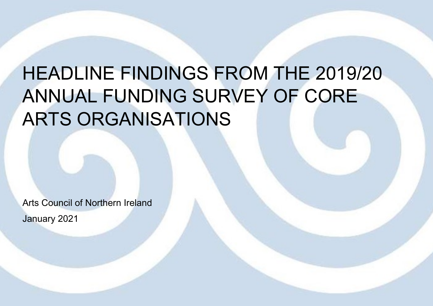# HEADLINE FINDINGS FROM THE 2019/20 ANNUAL FUNDING SURVEY OF CORE ARTS ORGANISATIONS

Arts Council of Northern Ireland January 2021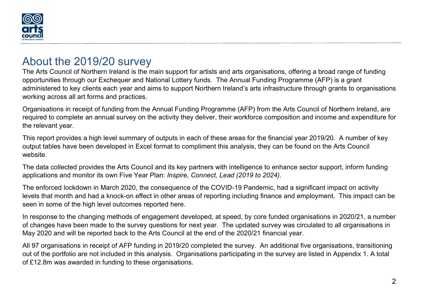

### About the 2019/20 survey

The Arts Council of Northern Ireland is the main support for artists and arts organisations, offering a broad range of funding opportunities through our Exchequer and National Lottery funds. The Annual Funding Programme (AFP) is a grant administered to key clients each year and aims to support Northern Ireland's arts infrastructure through grants to organisations working across all art forms and practices.

Organisations in receipt of funding from the Annual Funding Programme (AFP) from the Arts Council of Northern Ireland, are required to complete an annual survey on the activity they deliver, their workforce composition and income and expenditure for the relevant year.

This report provides a high level summary of outputs in each of these areas for the financial year 2019/20. A number of key output tables have been developed in Excel format to compliment this analysis, they can be found on the Arts Council website.

The data collected provides the Arts Council and its key partners with intelligence to enhance sector support, inform funding applications and monitor its own Five Year Plan: Inspire, Connect, Lead (2019 to 2024).

The enforced lockdown in March 2020, the consequence of the COVID-19 Pandemic, had a significant impact on activity levels that month and had a knock-on effect in other areas of reporting including finance and employment. This impact can be seen in some of the high level outcomes reported here.

In response to the changing methods of engagement developed, at speed, by core funded organisations in 2020/21, a number of changes have been made to the survey questions for next year. The updated survey was circulated to all organisations in May 2020 and will be reported back to the Arts Council at the end of the 2020/21 financial year.

All 97 organisations in receipt of AFP funding in 2019/20 completed the survey. An additional five organisations, transitioning out of the portfolio are not included in this analysis. Organisations participating in the survey are listed in Appendix 1. A total of £12.8m was awarded in funding to these organisations.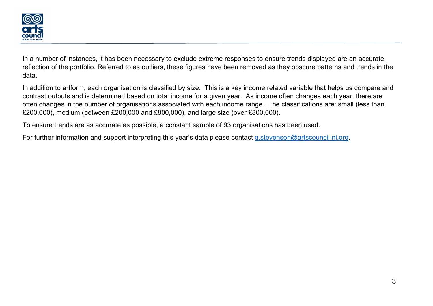

In a number of instances, it has been necessary to exclude extreme responses to ensure trends displayed are an accurate reflection of the portfolio. Referred to as outliers, these figures have been removed as they obscure patterns and trends in the data.

In addition to artform, each organisation is classified by size. This is a key income related variable that helps us compare and contrast outputs and is determined based on total income for a given year. As income often changes each year, there are often changes in the number of organisations associated with each income range. The classifications are: small (less than £200,000), medium (between £200,000 and £800,000), and large size (over £800,000).

To ensure trends are as accurate as possible, a constant sample of 93 organisations has been used.

For further information and support interpreting this year's data please contact g.stevenson@artscouncil-ni.org.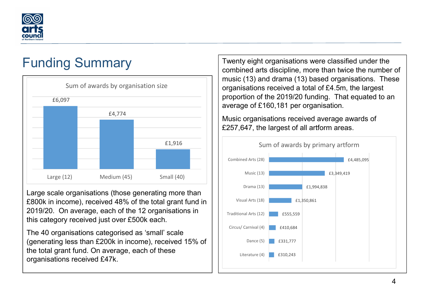

# Funding Summary



Large scale organisations (those generating more than £800k in income), received 48% of the total grant fund in 2019/20. On average, each of the 12 organisations in this category received just over £500k each.

The 40 organisations categorised as 'small' scale (generating less than £200k in income), received 15% of the total grant fund. On average, each of these organisations received £47k.

Twenty eight organisations were classified under the combined arts discipline, more than twice the number of music (13) and drama (13) based organisations. These organisations received a total of £4.5m, the largest proportion of the 2019/20 funding. That equated to an average of £160,181 per organisation.

Music organisations received average awards of £257,647, the largest of all artform areas.

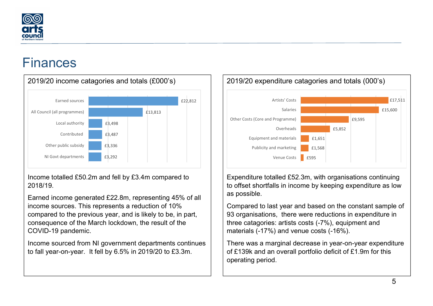

## Finances

 $\overline{a}$ 



Income totalled £50.2m and fell by £3.4m compared to 2018/19.

Earned income generated £22.8m, representing 45% of all income sources. This represents a reduction of 10% compared to the previous year, and is likely to be, in part, consequence of the March lockdown, the result of the COVID-19 pandemic.

Income sourced from NI government departments continues to fall year-on-year. It fell by 6.5% in 2019/20 to £3.3m.



Expenditure totalled £52.3m, with organisations continuing to offset shortfalls in income by keeping expenditure as low as possible.

Compared to last year and based on the constant sample of 93 organisations, there were reductions in expenditure in three catagories: artists costs (-7%), equipment and materials (-17%) and venue costs (-16%).

There was a marginal decrease in year-on-year expenditure of £139k and an overall portfolio deficit of £1.9m for this operating period.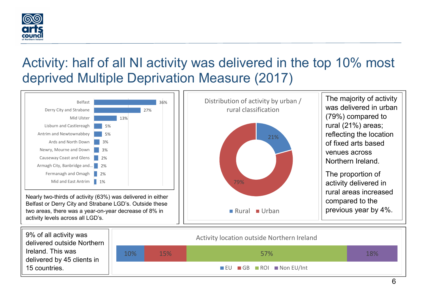

## Activity: half of all NI activity was delivered in the top 10% most deprived Multiple Deprivation Measure (2017)

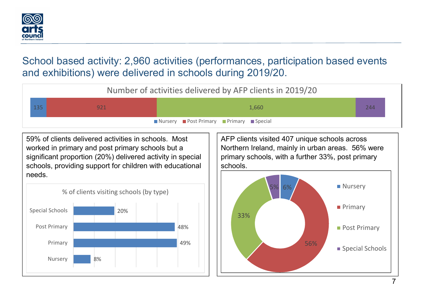

## School based activity: 2,960 activities (performances, participation based events and exhibitions) were delivered in schools during 2019/20.

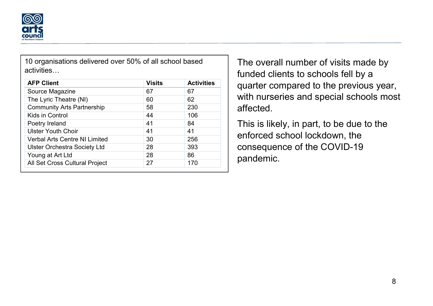

10 organisations delivered over 50% of all school based activities…

| <b>AFP Client</b>                    | <b>Visits</b> | <b>Activities</b> |
|--------------------------------------|---------------|-------------------|
| Source Magazine                      | 67            | 67                |
| The Lyric Theatre (NI)               | 60            | 62                |
| <b>Community Arts Partnership</b>    | 58            | 230               |
| Kids in Control                      | 44            | 106               |
| Poetry Ireland                       | 41            | 84                |
| <b>Ulster Youth Choir</b>            | 41            | 41                |
| <b>Verbal Arts Centre NI Limited</b> | 30            | 256               |
| <b>Ulster Orchestra Society Ltd</b>  | 28            | 393               |
| Young at Art Ltd                     | 28            | 86                |
| All Set Cross Cultural Project       | 27            | 170               |

The overall number of visits made by funded clients to schools fell by a quarter compared to the previous year, with nurseries and special schools most affected.

This is likely, in part, to be due to the enforced school lockdown, the consequence of the COVID-19 pandemic.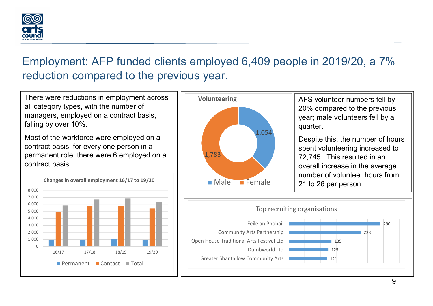

## Employment: AFP funded clients employed 6,409 people in 2019/20, a 7% reduction compared to the previous year.

There were reductions in employment across all category types, with the number of managers, employed on a contract basis, falling by over 10%.

Most of the workforce were employed on a contract basis: for every one person in a permanent role, there were 6 employed on a contract basis.





AFS volunteer numbers fell by 20% compared to the previous year; male volunteers fell by a quarter.

Male Female || 21 to 26 per person Despite this, the number of hours spent volunteering increased to 72,745. This resulted in an overall increase in the average number of volunteer hours from

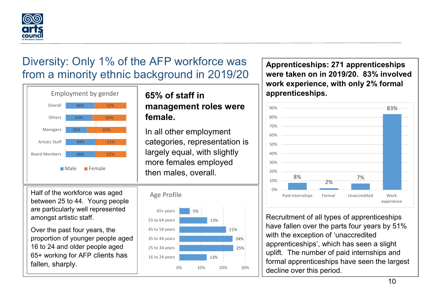

## Diversity: Only 1% of the AFP workforce was from a minority ethnic background in 2019/20



44% 56% female. 48% **1988 1998 1999 10 management roles were** 65% of staff in

48% 52% largely equal, with slightly 49% 51% categories, representation is <sup>35%</sup> <sup>65%</sup> In all other employment Male Female | then males, overall. more females employed

Half of the workforce was aged  $\overrightarrow{AB}$  Age Profile between 25 to 44. Young people are particularly well represented amongst artistic staff.

Over the past four years, the proportion of younger people aged 16 to 24 and older people aged 65+ working for AFP clients has fallen, sharply.



Apprenticeships: 271 apprenticeships were taken on in 2019/20. 83% involved work experience, with only 2% formal apprenticeships.



 $\frac{13\%}{13\%}$  |  $\frac{1}{\frac{13\%}{13\%}}$  | formal apprenticeships have seen the largest  $\frac{25\%}{\frac{1}{25\%}}$  | uplift. The number of paid internships and  $\frac{24\%}{25\%}$  | apprenticeships', which has seen a slight  $\overline{\mathbb{R}}_{\scriptscriptstyle{21\%}}$   $\overline{\phantom{0}}$   $\overline{\phantom{0}}$  have fallen over the parts four years by 51%  $\begin{array}{|c|c|c|}\hline & & & \end{array}$  Recruitment of all types of apprenticeships with the exception of 'unaccredited decline over this period.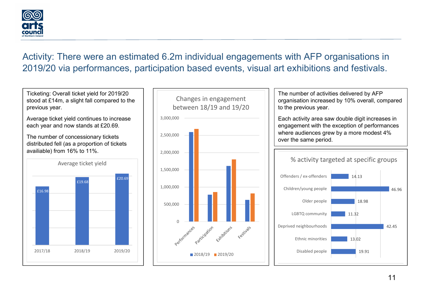

#### Activity: There were an estimated 6.2m individual engagements with AFP organisations in 2019/20 via performances, participation based events, visual art exhibitions and festivals.

Ticketing: Overall ticket yield for 2019/20 stood at £14m, a slight fall compared to the previous year.

Average ticket yield continues to increase each year and now stands at £20.69.

The number of concessionary tickets distributed fell (as a proportion of tickets availiable) from 16% to 11%.





The number of activities delivered by AFP organisation increased by 10% overall, compared to the previous year.

Each activity area saw double digit increases in engagement with the exception of performances where audiences grew by a more modest 4% over the same period.

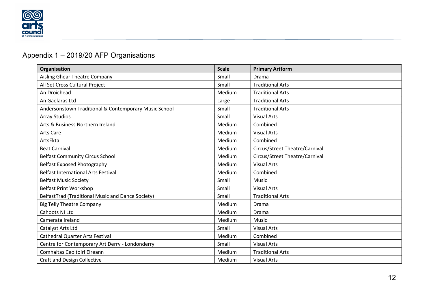

#### Appendix 1 – 2019/20 AFP Organisations

| Organisation                                          | <b>Scale</b> | <b>Primary Artform</b>         |
|-------------------------------------------------------|--------------|--------------------------------|
| Aisling Ghear Theatre Company                         | Small        | Drama                          |
| All Set Cross Cultural Project                        | Small        | <b>Traditional Arts</b>        |
| An Droichead                                          | Medium       | <b>Traditional Arts</b>        |
| An Gaelaras Ltd                                       | Large        | <b>Traditional Arts</b>        |
| Andersonstown Traditional & Contemporary Music School | Small        | <b>Traditional Arts</b>        |
| <b>Array Studios</b>                                  | Small        | <b>Visual Arts</b>             |
| Arts & Business Northern Ireland                      | Medium       | Combined                       |
| Arts Care                                             | Medium       | <b>Visual Arts</b>             |
| ArtsEkta                                              | Medium       | Combined                       |
| <b>Beat Carnival</b>                                  | Medium       | Circus/Street Theatre/Carnival |
| <b>Belfast Community Circus School</b>                | Medium       | Circus/Street Theatre/Carnival |
| <b>Belfast Exposed Photography</b>                    | Medium       | <b>Visual Arts</b>             |
| <b>Belfast International Arts Festival</b>            | Medium       | Combined                       |
| <b>Belfast Music Society</b>                          | Small        | Music                          |
| <b>Belfast Print Workshop</b>                         | Small        | <b>Visual Arts</b>             |
| BelfastTrad (Traditional Music and Dance Society)     | Small        | <b>Traditional Arts</b>        |
| <b>Big Telly Theatre Company</b>                      | Medium       | Drama                          |
| Cahoots NI Ltd                                        | Medium       | Drama                          |
| Camerata Ireland                                      | Medium       | Music                          |
| Catalyst Arts Ltd                                     | Small        | <b>Visual Arts</b>             |
| <b>Cathedral Quarter Arts Festival</b>                | Medium       | Combined                       |
| Centre for Contemporary Art Derry - Londonderry       | Small        | <b>Visual Arts</b>             |
| Comhaltas Ceoltoiri Eireann                           | Medium       | <b>Traditional Arts</b>        |
| <b>Craft and Design Collective</b>                    | Medium       | <b>Visual Arts</b>             |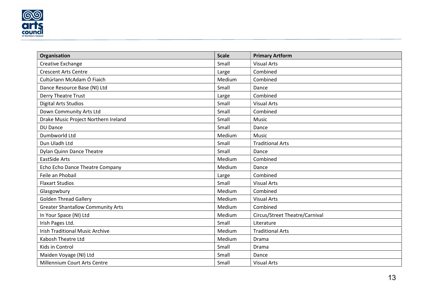

| Organisation                             | <b>Scale</b> | <b>Primary Artform</b>         |
|------------------------------------------|--------------|--------------------------------|
| Creative Exchange                        | Small        | <b>Visual Arts</b>             |
| <b>Crescent Arts Centre</b>              | Large        | Combined                       |
| Cultúrlann McAdam Ó Fiaich               | Medium       | Combined                       |
| Dance Resource Base (NI) Ltd             | Small        | Dance                          |
| Derry Theatre Trust                      | Large        | Combined                       |
| <b>Digital Arts Studios</b>              | Small        | <b>Visual Arts</b>             |
| Down Community Arts Ltd                  | Small        | Combined                       |
| Drake Music Project Northern Ireland     | Small        | Music                          |
| <b>DU Dance</b>                          | Small        | Dance                          |
| Dumbworld Ltd                            | Medium       | <b>Music</b>                   |
| Dun Uladh Ltd                            | Small        | <b>Traditional Arts</b>        |
| Dylan Quinn Dance Theatre                | Small        | Dance                          |
| <b>EastSide Arts</b>                     | Medium       | Combined                       |
| Echo Echo Dance Theatre Company          | Medium       | Dance                          |
| Feile an Phobail                         | Large        | Combined                       |
| <b>Flaxart Studios</b>                   | Small        | <b>Visual Arts</b>             |
| Glasgowbury                              | Medium       | Combined                       |
| <b>Golden Thread Gallery</b>             | Medium       | <b>Visual Arts</b>             |
| <b>Greater Shantallow Community Arts</b> | Medium       | Combined                       |
| In Your Space (NI) Ltd                   | Medium       | Circus/Street Theatre/Carnival |
| Irish Pages Ltd.                         | Small        | Literature                     |
| <b>Irish Traditional Music Archive</b>   | Medium       | <b>Traditional Arts</b>        |
| Kabosh Theatre Ltd                       | Medium       | Drama                          |
| Kids in Control                          | Small        | Drama                          |
| Maiden Voyage (NI) Ltd                   | Small        | Dance                          |
| Millennium Court Arts Centre             | Small        | <b>Visual Arts</b>             |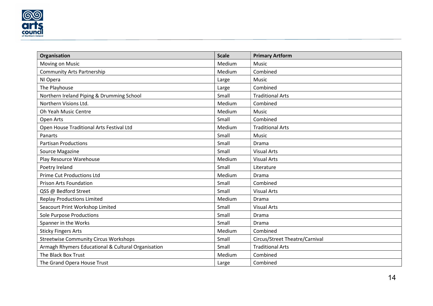

| Organisation                                       | <b>Scale</b> | <b>Primary Artform</b>         |
|----------------------------------------------------|--------------|--------------------------------|
| Moving on Music                                    | Medium       | <b>Music</b>                   |
| <b>Community Arts Partnership</b>                  | Medium       | Combined                       |
| NI Opera                                           | Large        | Music                          |
| The Playhouse                                      | Large        | Combined                       |
| Northern Ireland Piping & Drumming School          | Small        | <b>Traditional Arts</b>        |
| Northern Visions Ltd.                              | Medium       | Combined                       |
| <b>Oh Yeah Music Centre</b>                        | Medium       | Music                          |
| Open Arts                                          | Small        | Combined                       |
| Open House Traditional Arts Festival Ltd           | Medium       | <b>Traditional Arts</b>        |
| Panarts                                            | Small        | Music                          |
| <b>Partisan Productions</b>                        | Small        | Drama                          |
| Source Magazine                                    | Small        | <b>Visual Arts</b>             |
| Play Resource Warehouse                            | Medium       | <b>Visual Arts</b>             |
| Poetry Ireland                                     | Small        | Literature                     |
| <b>Prime Cut Productions Ltd</b>                   | Medium       | Drama                          |
| <b>Prison Arts Foundation</b>                      | Small        | Combined                       |
| QSS @ Bedford Street                               | Small        | <b>Visual Arts</b>             |
| <b>Replay Productions Limited</b>                  | Medium       | Drama                          |
| Seacourt Print Workshop Limited                    | Small        | <b>Visual Arts</b>             |
| <b>Sole Purpose Productions</b>                    | Small        | Drama                          |
| Spanner in the Works                               | Small        | Drama                          |
| <b>Sticky Fingers Arts</b>                         | Medium       | Combined                       |
| <b>Streetwise Community Circus Workshops</b>       | Small        | Circus/Street Theatre/Carnival |
| Armagh Rhymers Educational & Cultural Organisation | Small        | <b>Traditional Arts</b>        |
| The Black Box Trust                                | Medium       | Combined                       |
| The Grand Opera House Trust                        | Large        | Combined                       |